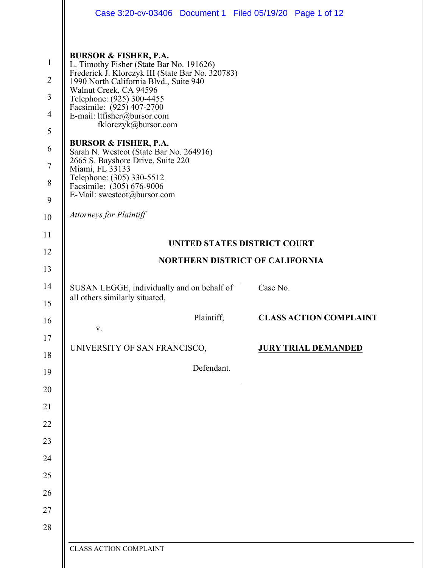|                                                                                           | Case 3:20-cv-03406 Document 1 Filed 05/19/20 Page 1 of 12                                                                                                                                                                                                                                                                                                                                                                                                                                                                                                                               |            |                                     |                               |  |  |  |
|-------------------------------------------------------------------------------------------|-----------------------------------------------------------------------------------------------------------------------------------------------------------------------------------------------------------------------------------------------------------------------------------------------------------------------------------------------------------------------------------------------------------------------------------------------------------------------------------------------------------------------------------------------------------------------------------------|------------|-------------------------------------|-------------------------------|--|--|--|
| $\mathbf{1}$<br>$\overline{2}$<br>3<br>$\overline{4}$<br>5<br>6<br>$\tau$<br>8<br>9<br>10 | <b>BURSOR &amp; FISHER, P.A.</b><br>L. Timothy Fisher (State Bar No. 191626)<br>Frederick J. Klorczyk III (State Bar No. 320783)<br>1990 North California Blvd., Suite 940<br>Walnut Creek, CA 94596<br>Telephone: (925) 300-4455<br>Facsimile: (925) 407-2700<br>E-mail: ltfisher@bursor.com<br>fklorczyk@bursor.com<br><b>BURSOR &amp; FISHER, P.A.</b><br>Sarah N. Westcot (State Bar No. 264916)<br>2665 S. Bayshore Drive, Suite 220<br>Miami, FL 33133<br>Telephone: (305) 330-5512<br>Facsimile: (305) 676-9006<br>E-Mail: swestcot@bursor.com<br><b>Attorneys for Plaintiff</b> |            |                                     |                               |  |  |  |
| 11                                                                                        |                                                                                                                                                                                                                                                                                                                                                                                                                                                                                                                                                                                         |            | <b>UNITED STATES DISTRICT COURT</b> |                               |  |  |  |
| 12                                                                                        | <b>NORTHERN DISTRICT OF CALIFORNIA</b>                                                                                                                                                                                                                                                                                                                                                                                                                                                                                                                                                  |            |                                     |                               |  |  |  |
| 13<br>14<br>15                                                                            | SUSAN LEGGE, individually and on behalf of<br>all others similarly situated,                                                                                                                                                                                                                                                                                                                                                                                                                                                                                                            |            | Case No.                            |                               |  |  |  |
| 16                                                                                        | V.                                                                                                                                                                                                                                                                                                                                                                                                                                                                                                                                                                                      | Plaintiff, |                                     | <b>CLASS ACTION COMPLAINT</b> |  |  |  |
| 17<br>18                                                                                  | UNIVERSITY OF SAN FRANCISCO,                                                                                                                                                                                                                                                                                                                                                                                                                                                                                                                                                            |            |                                     | <b>JURY TRIAL DEMANDED</b>    |  |  |  |
| 19                                                                                        |                                                                                                                                                                                                                                                                                                                                                                                                                                                                                                                                                                                         | Defendant. |                                     |                               |  |  |  |
| 20                                                                                        |                                                                                                                                                                                                                                                                                                                                                                                                                                                                                                                                                                                         |            |                                     |                               |  |  |  |
| 21                                                                                        |                                                                                                                                                                                                                                                                                                                                                                                                                                                                                                                                                                                         |            |                                     |                               |  |  |  |
| 22                                                                                        |                                                                                                                                                                                                                                                                                                                                                                                                                                                                                                                                                                                         |            |                                     |                               |  |  |  |
| 23                                                                                        |                                                                                                                                                                                                                                                                                                                                                                                                                                                                                                                                                                                         |            |                                     |                               |  |  |  |
| 24                                                                                        |                                                                                                                                                                                                                                                                                                                                                                                                                                                                                                                                                                                         |            |                                     |                               |  |  |  |
| 25                                                                                        |                                                                                                                                                                                                                                                                                                                                                                                                                                                                                                                                                                                         |            |                                     |                               |  |  |  |
| 26                                                                                        |                                                                                                                                                                                                                                                                                                                                                                                                                                                                                                                                                                                         |            |                                     |                               |  |  |  |
| 27                                                                                        |                                                                                                                                                                                                                                                                                                                                                                                                                                                                                                                                                                                         |            |                                     |                               |  |  |  |
| 28                                                                                        | <b>CLASS ACTION COMPLAINT</b>                                                                                                                                                                                                                                                                                                                                                                                                                                                                                                                                                           |            |                                     |                               |  |  |  |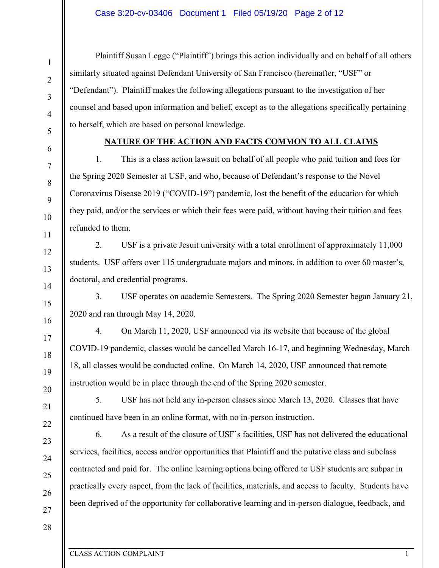Plaintiff Susan Legge ("Plaintiff") brings this action individually and on behalf of all others similarly situated against Defendant University of San Francisco (hereinafter, "USF" or "Defendant"). Plaintiff makes the following allegations pursuant to the investigation of her counsel and based upon information and belief, except as to the allegations specifically pertaining to herself, which are based on personal knowledge.

# **NATURE OF THE ACTION AND FACTS COMMON TO ALL CLAIMS**

1. This is a class action lawsuit on behalf of all people who paid tuition and fees for the Spring 2020 Semester at USF, and who, because of Defendant's response to the Novel Coronavirus Disease 2019 ("COVID-19") pandemic, lost the benefit of the education for which they paid, and/or the services or which their fees were paid, without having their tuition and fees refunded to them.

2. USF is a private Jesuit university with a total enrollment of approximately 11,000 students. USF offers over 115 undergraduate majors and minors, in addition to over 60 master's, doctoral, and credential programs.

3. USF operates on academic Semesters. The Spring 2020 Semester began January 21, 2020 and ran through May 14, 2020.

4. On March 11, 2020, USF announced via its website that because of the global COVID-19 pandemic, classes would be cancelled March 16-17, and beginning Wednesday, March 18, all classes would be conducted online. On March 14, 2020, USF announced that remote instruction would be in place through the end of the Spring 2020 semester.

5. USF has not held any in-person classes since March 13, 2020. Classes that have continued have been in an online format, with no in-person instruction.

6. As a result of the closure of USF's facilities, USF has not delivered the educational services, facilities, access and/or opportunities that Plaintiff and the putative class and subclass contracted and paid for. The online learning options being offered to USF students are subpar in practically every aspect, from the lack of facilities, materials, and access to faculty. Students have been deprived of the opportunity for collaborative learning and in-person dialogue, feedback, and

1

2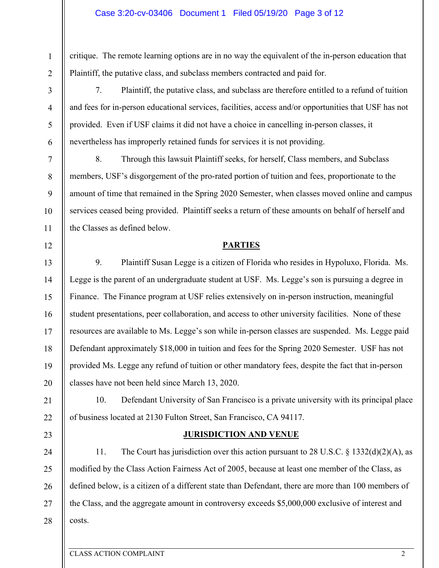### Case 3:20-cv-03406 Document 1 Filed 05/19/20 Page 3 of 12

critique. The remote learning options are in no way the equivalent of the in-person education that Plaintiff, the putative class, and subclass members contracted and paid for.

7. Plaintiff, the putative class, and subclass are therefore entitled to a refund of tuition and fees for in-person educational services, facilities, access and/or opportunities that USF has not provided. Even if USF claims it did not have a choice in cancelling in-person classes, it nevertheless has improperly retained funds for services it is not providing.

8. Through this lawsuit Plaintiff seeks, for herself, Class members, and Subclass members, USF's disgorgement of the pro-rated portion of tuition and fees, proportionate to the amount of time that remained in the Spring 2020 Semester, when classes moved online and campus services ceased being provided. Plaintiff seeks a return of these amounts on behalf of herself and the Classes as defined below.

### **PARTIES**

13 14 15 16 17 18 19 20 9. Plaintiff Susan Legge is a citizen of Florida who resides in Hypoluxo, Florida. Ms. Legge is the parent of an undergraduate student at USF. Ms. Legge's son is pursuing a degree in Finance. The Finance program at USF relies extensively on in-person instruction, meaningful student presentations, peer collaboration, and access to other university facilities. None of these resources are available to Ms. Legge's son while in-person classes are suspended. Ms. Legge paid Defendant approximately \$18,000 in tuition and fees for the Spring 2020 Semester. USF has not provided Ms. Legge any refund of tuition or other mandatory fees, despite the fact that in-person classes have not been held since March 13, 2020.

10. Defendant University of San Francisco is a private university with its principal place of business located at 2130 Fulton Street, San Francisco, CA 94117.

#### **JURISDICTION AND VENUE**

24 25 26 27 28 11. The Court has jurisdiction over this action pursuant to 28 U.S.C. § 1332(d)(2)(A), as modified by the Class Action Fairness Act of 2005, because at least one member of the Class, as defined below, is a citizen of a different state than Defendant, there are more than 100 members of the Class, and the aggregate amount in controversy exceeds \$5,000,000 exclusive of interest and costs.

1

2

3

4

5

6

7

8

9

10

11

12

21

22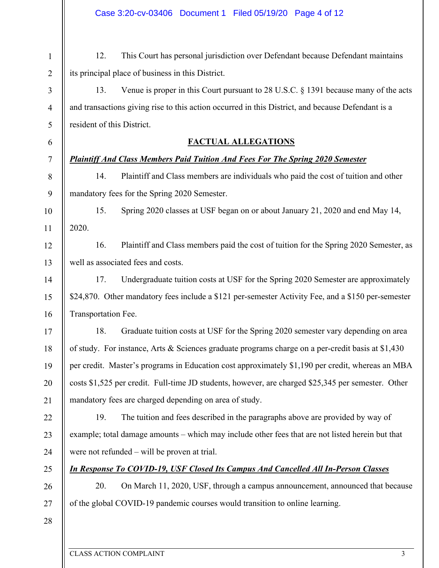1 2 3 4 12. This Court has personal jurisdiction over Defendant because Defendant maintains its principal place of business in this District. 13. Venue is proper in this Court pursuant to 28 U.S.C. § 1391 because many of the acts

and transactions giving rise to this action occurred in this District, and because Defendant is a resident of this District.

## **FACTUAL ALLEGATIONS**

## *Plaintiff And Class Members Paid Tuition And Fees For The Spring 2020 Semester*

14. Plaintiff and Class members are individuals who paid the cost of tuition and other mandatory fees for the Spring 2020 Semester.

10 11 15. Spring 2020 classes at USF began on or about January 21, 2020 and end May 14, 2020.

12 13 16. Plaintiff and Class members paid the cost of tuition for the Spring 2020 Semester, as well as associated fees and costs.

14 15 16 17. Undergraduate tuition costs at USF for the Spring 2020 Semester are approximately \$24,870. Other mandatory fees include a \$121 per-semester Activity Fee, and a \$150 per-semester Transportation Fee.

17 18 19 20 21 18. Graduate tuition costs at USF for the Spring 2020 semester vary depending on area of study. For instance, Arts & Sciences graduate programs charge on a per-credit basis at \$1,430 per credit. Master's programs in Education cost approximately \$1,190 per credit, whereas an MBA costs \$1,525 per credit. Full-time JD students, however, are charged \$25,345 per semester. Other mandatory fees are charged depending on area of study.

22 23 24 19. The tuition and fees described in the paragraphs above are provided by way of example; total damage amounts – which may include other fees that are not listed herein but that were not refunded – will be proven at trial.

25

# *In Response To COVID-19, USF Closed Its Campus And Cancelled All In-Person Classes*

26 27 20. On March 11, 2020, USF, through a campus announcement, announced that because of the global COVID-19 pandemic courses would transition to online learning.

28

5

6

7

8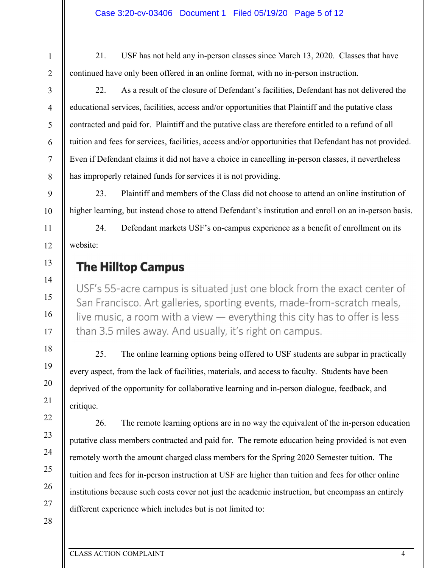21. USF has not held any in-person classes since March 13, 2020. Classes that have continued have only been offered in an online format, with no in-person instruction.

22. As a result of the closure of Defendant's facilities, Defendant has not delivered the educational services, facilities, access and/or opportunities that Plaintiff and the putative class contracted and paid for. Plaintiff and the putative class are therefore entitled to a refund of all tuition and fees for services, facilities, access and/or opportunities that Defendant has not provided. Even if Defendant claims it did not have a choice in cancelling in-person classes, it nevertheless has improperly retained funds for services it is not providing.

23. Plaintiff and members of the Class did not choose to attend an online institution of higher learning, but instead chose to attend Defendant's institution and enroll on an in-person basis.

24. Defendant markets USF's on-campus experience as a benefit of enrollment on its website:

# **The Hilltop Campus**

USF's 55-acre campus is situated just one block from the exact center of San Francisco. Art galleries, sporting events, made-from-scratch meals, live music, a room with a view  $-$  everything this city has to offer is less than 3.5 miles away. And usually, it's right on campus.

25. The online learning options being offered to USF students are subpar in practically every aspect, from the lack of facilities, materials, and access to faculty. Students have been deprived of the opportunity for collaborative learning and in-person dialogue, feedback, and critique.

26. The remote learning options are in no way the equivalent of the in-person education putative class members contracted and paid for. The remote education being provided is not even remotely worth the amount charged class members for the Spring 2020 Semester tuition. The tuition and fees for in-person instruction at USF are higher than tuition and fees for other online institutions because such costs cover not just the academic instruction, but encompass an entirely different experience which includes but is not limited to: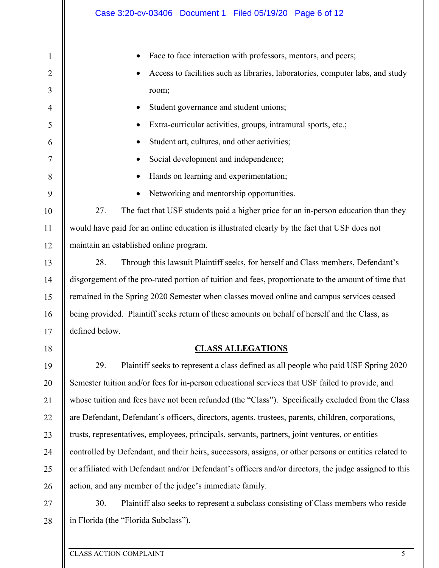|                | Case 3:20-cv-03406  Document 1  Filed 05/19/20  Page 6 of 12                                           |
|----------------|--------------------------------------------------------------------------------------------------------|
| $\mathbf{1}$   | Face to face interaction with professors, mentors, and peers;                                          |
| $\overline{2}$ | Access to facilities such as libraries, laboratories, computer labs, and study                         |
| 3              | room;                                                                                                  |
| $\overline{4}$ | Student governance and student unions;                                                                 |
| 5              | Extra-curricular activities, groups, intramural sports, etc.;                                          |
| 6              | Student art, cultures, and other activities;                                                           |
| 7              | Social development and independence;                                                                   |
| 8              | Hands on learning and experimentation;                                                                 |
| 9              | Networking and mentorship opportunities.                                                               |
| 10             | 27.<br>The fact that USF students paid a higher price for an in-person education than they             |
| 11             | would have paid for an online education is illustrated clearly by the fact that USF does not           |
| 12             | maintain an established online program.                                                                |
| 13             | 28.<br>Through this lawsuit Plaintiff seeks, for herself and Class members, Defendant's                |
| 14             | disgorgement of the pro-rated portion of tuition and fees, proportionate to the amount of time that    |
| 15             | remained in the Spring 2020 Semester when classes moved online and campus services ceased              |
| 16             | being provided. Plaintiff seeks return of these amounts on behalf of herself and the Class, as         |
| 17             | defined below.                                                                                         |
| 18             | <b>CLASS ALLEGATIONS</b>                                                                               |
| 19             | 29.<br>Plaintiff seeks to represent a class defined as all people who paid USF Spring 2020             |
| 20             | Semester tuition and/or fees for in-person educational services that USF failed to provide, and        |
| 21             | whose tuition and fees have not been refunded (the "Class"). Specifically excluded from the Class      |
| 22             | are Defendant, Defendant's officers, directors, agents, trustees, parents, children, corporations,     |
| 23             | trusts, representatives, employees, principals, servants, partners, joint ventures, or entities        |
| 24             | controlled by Defendant, and their heirs, successors, assigns, or other persons or entities related to |
| 25             | or affiliated with Defendant and/or Defendant's officers and/or directors, the judge assigned to this  |
| 26             | action, and any member of the judge's immediate family.                                                |
| 27             | 30.<br>Plaintiff also seeks to represent a subclass consisting of Class members who reside             |
| 28             | in Florida (the "Florida Subclass").                                                                   |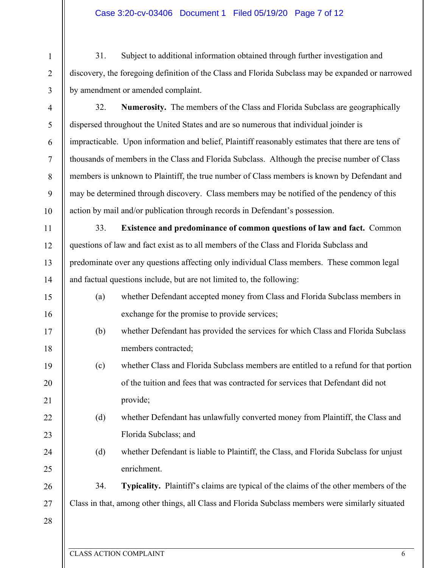## Case 3:20-cv-03406 Document 1 Filed 05/19/20 Page 7 of 12

31. Subject to additional information obtained through further investigation and discovery, the foregoing definition of the Class and Florida Subclass may be expanded or narrowed by amendment or amended complaint.

3 4 5

6

7

8

9

10

11

12

13

14

15

16

17

18

19

20

21

22

23

24

25

1

2

32. **Numerosity.** The members of the Class and Florida Subclass are geographically dispersed throughout the United States and are so numerous that individual joinder is impracticable. Upon information and belief, Plaintiff reasonably estimates that there are tens of thousands of members in the Class and Florida Subclass. Although the precise number of Class members is unknown to Plaintiff, the true number of Class members is known by Defendant and may be determined through discovery. Class members may be notified of the pendency of this action by mail and/or publication through records in Defendant's possession.

33. **Existence and predominance of common questions of law and fact.** Common questions of law and fact exist as to all members of the Class and Florida Subclass and predominate over any questions affecting only individual Class members. These common legal and factual questions include, but are not limited to, the following:

- (a) whether Defendant accepted money from Class and Florida Subclass members in exchange for the promise to provide services;
- (b) whether Defendant has provided the services for which Class and Florida Subclass members contracted;
- (c) whether Class and Florida Subclass members are entitled to a refund for that portion of the tuition and fees that was contracted for services that Defendant did not provide;
	- (d) whether Defendant has unlawfully converted money from Plaintiff, the Class and Florida Subclass; and
	- (d) whether Defendant is liable to Plaintiff, the Class, and Florida Subclass for unjust enrichment.

26 27 34. **Typicality.** Plaintiff's claims are typical of the claims of the other members of the Class in that, among other things, all Class and Florida Subclass members were similarly situated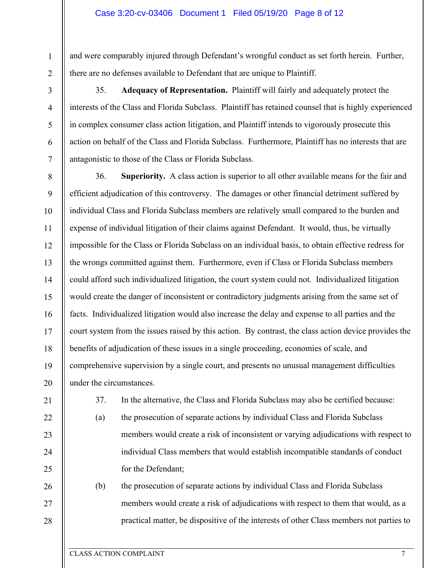and were comparably injured through Defendant's wrongful conduct as set forth herein. Further, there are no defenses available to Defendant that are unique to Plaintiff.

1

2

3

4

5

6

7

35. **Adequacy of Representation.** Plaintiff will fairly and adequately protect the interests of the Class and Florida Subclass. Plaintiff has retained counsel that is highly experienced in complex consumer class action litigation, and Plaintiff intends to vigorously prosecute this action on behalf of the Class and Florida Subclass. Furthermore, Plaintiff has no interests that are antagonistic to those of the Class or Florida Subclass.

8 9 10 11 12 13 14 15 16 17 18 19 20 36. **Superiority.** A class action is superior to all other available means for the fair and efficient adjudication of this controversy. The damages or other financial detriment suffered by individual Class and Florida Subclass members are relatively small compared to the burden and expense of individual litigation of their claims against Defendant. It would, thus, be virtually impossible for the Class or Florida Subclass on an individual basis, to obtain effective redress for the wrongs committed against them. Furthermore, even if Class or Florida Subclass members could afford such individualized litigation, the court system could not. Individualized litigation would create the danger of inconsistent or contradictory judgments arising from the same set of facts. Individualized litigation would also increase the delay and expense to all parties and the court system from the issues raised by this action. By contrast, the class action device provides the benefits of adjudication of these issues in a single proceeding, economies of scale, and comprehensive supervision by a single court, and presents no unusual management difficulties under the circumstances.

21

22

23

24

25

26

27

28

37. In the alternative, the Class and Florida Subclass may also be certified because:

(a) the prosecution of separate actions by individual Class and Florida Subclass members would create a risk of inconsistent or varying adjudications with respect to individual Class members that would establish incompatible standards of conduct for the Defendant;

(b) the prosecution of separate actions by individual Class and Florida Subclass members would create a risk of adjudications with respect to them that would, as a practical matter, be dispositive of the interests of other Class members not parties to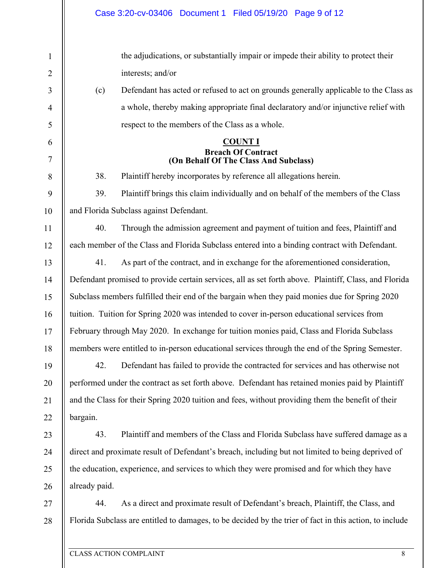| $\mathbf{1}$   |                                                                                                       | the adjudications, or substantially impair or impede their ability to protect their                     |  |  |  |  |  |
|----------------|-------------------------------------------------------------------------------------------------------|---------------------------------------------------------------------------------------------------------|--|--|--|--|--|
| $\overline{2}$ |                                                                                                       | interests; and/or                                                                                       |  |  |  |  |  |
| 3              | (c)                                                                                                   | Defendant has acted or refused to act on grounds generally applicable to the Class as                   |  |  |  |  |  |
| $\overline{4}$ |                                                                                                       | a whole, thereby making appropriate final declaratory and/or injunctive relief with                     |  |  |  |  |  |
| 5              |                                                                                                       | respect to the members of the Class as a whole.                                                         |  |  |  |  |  |
| 6              | <b>COUNT I</b>                                                                                        |                                                                                                         |  |  |  |  |  |
| 7              | <b>Breach Of Contract</b><br>(On Behalf Of The Class And Subclass)                                    |                                                                                                         |  |  |  |  |  |
| 8              | 38.                                                                                                   | Plaintiff hereby incorporates by reference all allegations herein.                                      |  |  |  |  |  |
| 9              | 39.                                                                                                   | Plaintiff brings this claim individually and on behalf of the members of the Class                      |  |  |  |  |  |
| 10             | and Florida Subclass against Defendant.                                                               |                                                                                                         |  |  |  |  |  |
| 11             | 40.                                                                                                   | Through the admission agreement and payment of tuition and fees, Plaintiff and                          |  |  |  |  |  |
| 12             |                                                                                                       | each member of the Class and Florida Subclass entered into a binding contract with Defendant.           |  |  |  |  |  |
| 13             | 41.                                                                                                   | As part of the contract, and in exchange for the aforementioned consideration,                          |  |  |  |  |  |
| 14             | Defendant promised to provide certain services, all as set forth above. Plaintiff, Class, and Florida |                                                                                                         |  |  |  |  |  |
| 15             | Subclass members fulfilled their end of the bargain when they paid monies due for Spring 2020         |                                                                                                         |  |  |  |  |  |
| 16             | tuition. Tuition for Spring 2020 was intended to cover in-person educational services from            |                                                                                                         |  |  |  |  |  |
| 17             |                                                                                                       | February through May 2020. In exchange for tuition monies paid, Class and Florida Subclass              |  |  |  |  |  |
| 18             |                                                                                                       | members were entitled to in-person educational services through the end of the Spring Semester.         |  |  |  |  |  |
| 19             | 42.                                                                                                   | Defendant has failed to provide the contracted for services and has otherwise not                       |  |  |  |  |  |
| 20             |                                                                                                       | performed under the contract as set forth above. Defendant has retained monies paid by Plaintiff        |  |  |  |  |  |
| 21             |                                                                                                       | and the Class for their Spring 2020 tuition and fees, without providing them the benefit of their       |  |  |  |  |  |
| 22             | bargain.                                                                                              |                                                                                                         |  |  |  |  |  |
| 23             | 43.                                                                                                   | Plaintiff and members of the Class and Florida Subclass have suffered damage as a                       |  |  |  |  |  |
| 24             |                                                                                                       | direct and proximate result of Defendant's breach, including but not limited to being deprived of       |  |  |  |  |  |
| 25             |                                                                                                       | the education, experience, and services to which they were promised and for which they have             |  |  |  |  |  |
| 26             | already paid.                                                                                         |                                                                                                         |  |  |  |  |  |
| 27             | 44.                                                                                                   | As a direct and proximate result of Defendant's breach, Plaintiff, the Class, and                       |  |  |  |  |  |
| 28             |                                                                                                       | Florida Subclass are entitled to damages, to be decided by the trier of fact in this action, to include |  |  |  |  |  |
|                |                                                                                                       |                                                                                                         |  |  |  |  |  |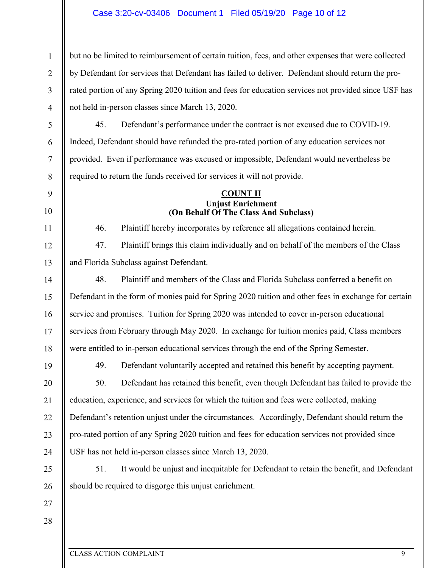## Case 3:20-cv-03406 Document 1 Filed 05/19/20 Page 10 of 12

but no be limited to reimbursement of certain tuition, fees, and other expenses that were collected by Defendant for services that Defendant has failed to deliver. Defendant should return the prorated portion of any Spring 2020 tuition and fees for education services not provided since USF has not held in-person classes since March 13, 2020.

45. Defendant's performance under the contract is not excused due to COVID-19. Indeed, Defendant should have refunded the pro-rated portion of any education services not provided. Even if performance was excused or impossible, Defendant would nevertheless be required to return the funds received for services it will not provide.

#### **COUNT II Unjust Enrichment (On Behalf Of The Class And Subclass)**

46. Plaintiff hereby incorporates by reference all allegations contained herein.

47. Plaintiff brings this claim individually and on behalf of the members of the Class and Florida Subclass against Defendant.

14 15 16 17 18 48. Plaintiff and members of the Class and Florida Subclass conferred a benefit on Defendant in the form of monies paid for Spring 2020 tuition and other fees in exchange for certain service and promises. Tuition for Spring 2020 was intended to cover in-person educational services from February through May 2020. In exchange for tuition monies paid, Class members were entitled to in-person educational services through the end of the Spring Semester.

19

20

21

22

23

24

25

26

1

2

3

4

5

6

7

8

9

10

11

12

13

49. Defendant voluntarily accepted and retained this benefit by accepting payment.

50. Defendant has retained this benefit, even though Defendant has failed to provide the education, experience, and services for which the tuition and fees were collected, making Defendant's retention unjust under the circumstances. Accordingly, Defendant should return the pro-rated portion of any Spring 2020 tuition and fees for education services not provided since USF has not held in-person classes since March 13, 2020.

51. It would be unjust and inequitable for Defendant to retain the benefit, and Defendant should be required to disgorge this unjust enrichment.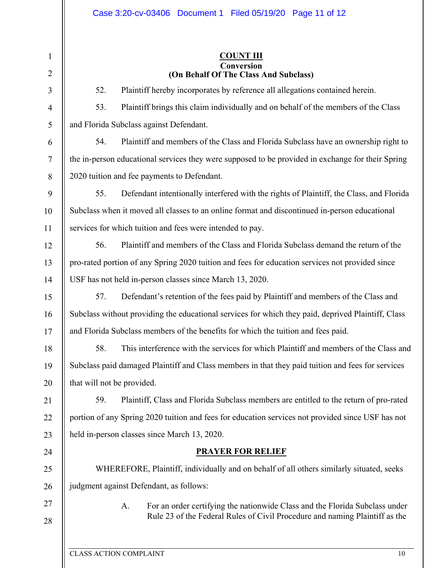1 2 3 4 5 6 7 8 9 10 11 12 13 14 15 16 17 18 19 20 21 22 23 24 25 26 27 28 **COUNT III Conversion (On Behalf Of The Class And Subclass)**  52. Plaintiff hereby incorporates by reference all allegations contained herein. 53. Plaintiff brings this claim individually and on behalf of the members of the Class and Florida Subclass against Defendant. 54. Plaintiff and members of the Class and Florida Subclass have an ownership right to the in-person educational services they were supposed to be provided in exchange for their Spring 2020 tuition and fee payments to Defendant. 55. Defendant intentionally interfered with the rights of Plaintiff, the Class, and Florida Subclass when it moved all classes to an online format and discontinued in-person educational services for which tuition and fees were intended to pay. 56. Plaintiff and members of the Class and Florida Subclass demand the return of the pro-rated portion of any Spring 2020 tuition and fees for education services not provided since USF has not held in-person classes since March 13, 2020. 57. Defendant's retention of the fees paid by Plaintiff and members of the Class and Subclass without providing the educational services for which they paid, deprived Plaintiff, Class and Florida Subclass members of the benefits for which the tuition and fees paid. 58. This interference with the services for which Plaintiff and members of the Class and Subclass paid damaged Plaintiff and Class members in that they paid tuition and fees for services that will not be provided. 59. Plaintiff, Class and Florida Subclass members are entitled to the return of pro-rated portion of any Spring 2020 tuition and fees for education services not provided since USF has not held in-person classes since March 13, 2020. **PRAYER FOR RELIEF**  WHEREFORE, Plaintiff, individually and on behalf of all others similarly situated, seeks judgment against Defendant, as follows: A. For an order certifying the nationwide Class and the Florida Subclass under Rule 23 of the Federal Rules of Civil Procedure and naming Plaintiff as the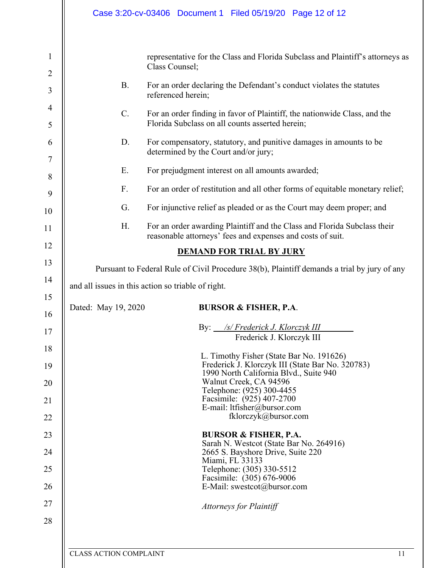|                                                         | Case 3:20-cv-03406 Document 1 Filed 05/19/20 Page 12 of 12                                                                                                                                                                                                                                        |  |  |  |  |  |  |  |
|---------------------------------------------------------|---------------------------------------------------------------------------------------------------------------------------------------------------------------------------------------------------------------------------------------------------------------------------------------------------|--|--|--|--|--|--|--|
| 1<br>$\overline{2}$<br>$\overline{3}$<br>$\overline{4}$ | representative for the Class and Florida Subclass and Plaintiff's attorneys as<br>Class Counsel;<br><b>B.</b><br>For an order declaring the Defendant's conduct violates the statutes<br>referenced herein;<br>$C$ .<br>For an order finding in favor of Plaintiff, the nationwide Class, and the |  |  |  |  |  |  |  |
| 5<br>6                                                  | Florida Subclass on all counts asserted herein;<br>D.<br>For compensatory, statutory, and punitive damages in amounts to be<br>determined by the Court and/or jury;                                                                                                                               |  |  |  |  |  |  |  |
| 7<br>8                                                  | For prejudgment interest on all amounts awarded;<br>Ε.                                                                                                                                                                                                                                            |  |  |  |  |  |  |  |
| 9                                                       | F.<br>For an order of restitution and all other forms of equitable monetary relief;                                                                                                                                                                                                               |  |  |  |  |  |  |  |
| 10<br>11                                                | For injunctive relief as pleaded or as the Court may deem proper; and<br>G.<br>For an order awarding Plaintiff and the Class and Florida Subclass their<br>H.                                                                                                                                     |  |  |  |  |  |  |  |
| 12                                                      | reasonable attorneys' fees and expenses and costs of suit.                                                                                                                                                                                                                                        |  |  |  |  |  |  |  |
| 13                                                      | <b>DEMAND FOR TRIAL BY JURY</b>                                                                                                                                                                                                                                                                   |  |  |  |  |  |  |  |
| 14                                                      | Pursuant to Federal Rule of Civil Procedure 38(b), Plaintiff demands a trial by jury of any                                                                                                                                                                                                       |  |  |  |  |  |  |  |
| 15                                                      | and all issues in this action so triable of right.                                                                                                                                                                                                                                                |  |  |  |  |  |  |  |
| 16                                                      | Dated: May 19, 2020<br><b>BURSOR &amp; FISHER, P.A.</b>                                                                                                                                                                                                                                           |  |  |  |  |  |  |  |
| 17                                                      | By: /s/ Frederick J. Klorczyk III<br>Frederick J. Klorczyk III                                                                                                                                                                                                                                    |  |  |  |  |  |  |  |
| 18<br>19                                                | L. Timothy Fisher (State Bar No. 191626)<br>Frederick J. Klorczyk III (State Bar No. 320783)                                                                                                                                                                                                      |  |  |  |  |  |  |  |
| 20                                                      | 1990 North California Blvd., Suite 940<br>Walnut Creek, CA 94596<br>Telephone: (925) 300-4455                                                                                                                                                                                                     |  |  |  |  |  |  |  |
| 21                                                      | Facsimile: (925) 407-2700<br>E-mail: ltfisher@bursor.com                                                                                                                                                                                                                                          |  |  |  |  |  |  |  |
| 22                                                      | fklorczyk@bursor.com                                                                                                                                                                                                                                                                              |  |  |  |  |  |  |  |
| 23                                                      | <b>BURSOR &amp; FISHER, P.A.</b><br>Sarah N. Westcot (State Bar No. 264916)                                                                                                                                                                                                                       |  |  |  |  |  |  |  |
| 24                                                      | 2665 S. Bayshore Drive, Suite 220<br>Miami, FL 33133                                                                                                                                                                                                                                              |  |  |  |  |  |  |  |
| 25<br>26                                                | Telephone: (305) 330-5512<br>Facsimile: (305) 676-9006<br>E-Mail: swestcot@bursor.com                                                                                                                                                                                                             |  |  |  |  |  |  |  |
| 27                                                      | <b>Attorneys for Plaintiff</b>                                                                                                                                                                                                                                                                    |  |  |  |  |  |  |  |
| 28                                                      |                                                                                                                                                                                                                                                                                                   |  |  |  |  |  |  |  |
|                                                         |                                                                                                                                                                                                                                                                                                   |  |  |  |  |  |  |  |

Ш